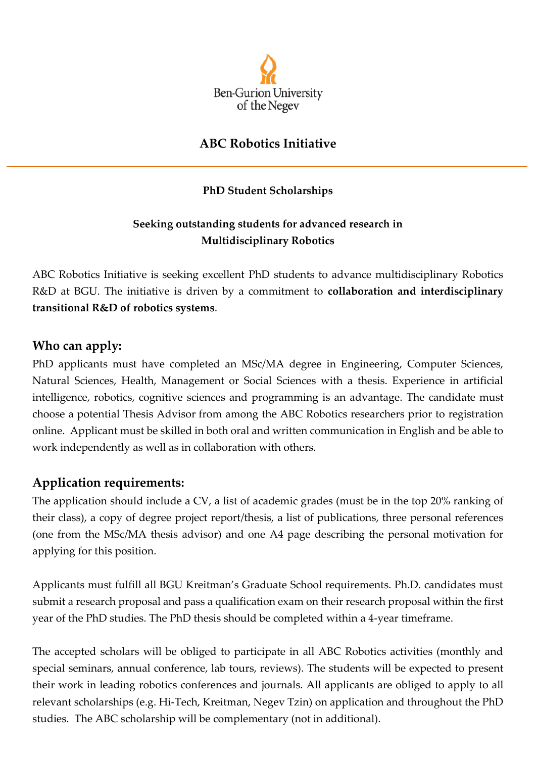

## **ABC Robotics Initiative**

#### **PhD Student Scholarships**

### **Seeking outstanding students for advanced research in Multidisciplinary Robotics**

ABC Robotics Initiative is seeking excellent PhD students to advance multidisciplinary Robotics R&D at BGU. The initiative is driven by a commitment to **collaboration and interdisciplinary transitional R&D of robotics systems**.

#### **Who can apply:**

PhD applicants must have completed an MSc/MA degree in Engineering, Computer Sciences, Natural Sciences, Health, Management or Social Sciences with a thesis. Experience in artificial intelligence, robotics, cognitive sciences and programming is an advantage. The candidate must choose a potential Thesis Advisor from among the ABC Robotics researchers prior to registration online. Applicant must be skilled in both oral and written communication in English and be able to work independently as well as in collaboration with others.

#### **Application requirements:**

The application should include a CV, a list of academic grades (must be in the top 20% ranking of their class), a copy of degree project report/thesis, a list of publications, three personal references (one from the MSc/MA thesis advisor) and one A4 page describing the personal motivation for applying for this position.

Applicants must fulfill all BGU Kreitman's Graduate School requirements. Ph.D. candidates must submit a research proposal and pass a qualification exam on their research proposal within the first year of the PhD studies. The PhD thesis should be completed within a 4-year timeframe.

The accepted scholars will be obliged to participate in all ABC Robotics activities (monthly and special seminars, annual conference, lab tours, reviews). The students will be expected to present their work in leading robotics conferences and journals. All applicants are obliged to apply to all relevant scholarships (e.g. Hi-Tech, Kreitman, Negev Tzin) on application and throughout the PhD studies. The ABC scholarship will be complementary (not in additional).